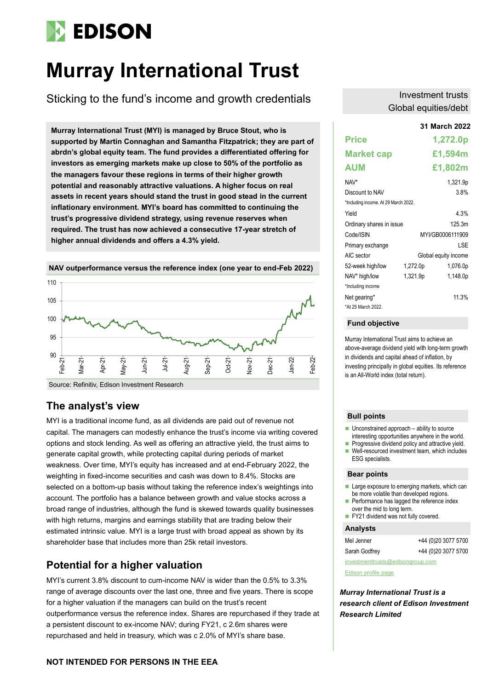# **EDISON**

## **Murray International Trust**

Sticking to the fund's income and growth credentials

**31 March 2022 Murray International Trust (MYI) is managed by Bruce Stout, who is supported by Martin Connaghan and Samantha Fitzpatrick; they are part of abrdn's global equity team. The fund provides a differentiated offering for investors as emerging markets make up close to 50% of the portfolio as the managers favour these regions in terms of their higher growth potential and reasonably attractive valuations. A higher focus on real assets in recent years should stand the trust in good stead in the current inflationary environment. MYI's board has committed to continuing the trust's progressive dividend strategy, using revenue reserves when required. The trust has now achieved a consecutive 17-year stretch of higher annual dividends and offers a 4.3% yield.**



**NAV outperformance versus the reference index (one year to end-Feb 2022)**

### **The analyst's view**

MYI is a traditional income fund, as all dividends are paid out of revenue not capital. The managers can modestly enhance the trust's income via writing covered options and stock lending. As well as offering an attractive yield, the trust aims to generate capital growth, while protecting capital during periods of market weakness. Over time, MYI's equity has increased and at end-February 2022, the weighting in fixed-income securities and cash was down to 8.4%. Stocks are selected on a bottom-up basis without taking the reference index's weightings into account. The portfolio has a balance between growth and value stocks across a broad range of industries, although the fund is skewed towards quality businesses with high returns, margins and earnings stability that are trading below their estimated intrinsic value. MYI is a large trust with broad appeal as shown by its shareholder base that includes more than 25k retail investors.

### **Potential for a higher valuation**

MYI's current 3.8% discount to cum-income NAV is wider than the 0.5% to 3.3% range of average discounts over the last one, three and five years. There is scope for a higher valuation if the managers can build on the trust's recent outperformance versus the reference index. Shares are repurchased if they trade at a persistent discount to ex-income NAV; during FY21, c 2.6m shares were repurchased and held in treasury, which was c 2.0% of MYI's share base.

### **NOT INTENDED FOR PERSONS IN THE EEA**

### Investment trusts Global equities/debt

|                                      |          | 31 March 2022        |
|--------------------------------------|----------|----------------------|
| <b>Price</b>                         |          | 1,272.0p             |
| Market cap                           |          | £1,594m              |
| <b>AUM</b>                           |          | £1,802m              |
| NAV*                                 |          | 1,321.9p             |
| Discount to NAV                      |          | 3.8%                 |
| *Including income. At 29 March 2022. |          |                      |
| Yield                                |          | 4 3%                 |
| Ordinary shares in issue             |          | 125.3m               |
| Code/ISIN                            |          | MYI/GB0006111909     |
| Primary exchange                     |          | I SF                 |
| AIC sector                           |          | Global equity income |
| 52-week high/low                     | 1,272.0p | 1,076.0p             |
| NAV* high/low                        | 1,321.9p | 1,148.0p             |
| *Including income                    |          |                      |
| Net gearing*                         |          | 11.3%                |
| *At 25 March 2022.                   |          |                      |
|                                      |          |                      |

#### **Fund objective**

Murray International Trust aims to achieve an above-average dividend yield with long-term growth in dividends and capital ahead of inflation, by investing principally in global equities. Its reference is an All-World index (total return).

#### **Bull points**

- $\blacksquare$  Unconstrained approach ability to source interesting opportunities anywhere in the world.
- Progressive dividend policy and attractive yield. Well-resourced investment team, which includes ESG specialists.

#### **Bear points**

- Large exposure to emerging markets, which can be more volatile than developed regions.
- Performance has lagged the reference index over the mid to long term.
- FY21 dividend was not fully covered.

#### **Analysts**

| Mel Jenner                       | +44 (0)20 3077 5700 |  |  |  |  |
|----------------------------------|---------------------|--|--|--|--|
| Sarah Godfrey                    | +44 (0)20 3077 5700 |  |  |  |  |
| investmenttrusts@edisongroup.com |                     |  |  |  |  |

[Edison profile page](https://www.edisongroup.com/company/murray-international-trust/2828/)

*Murray International Trust is a research client of Edison Investment Research Limited*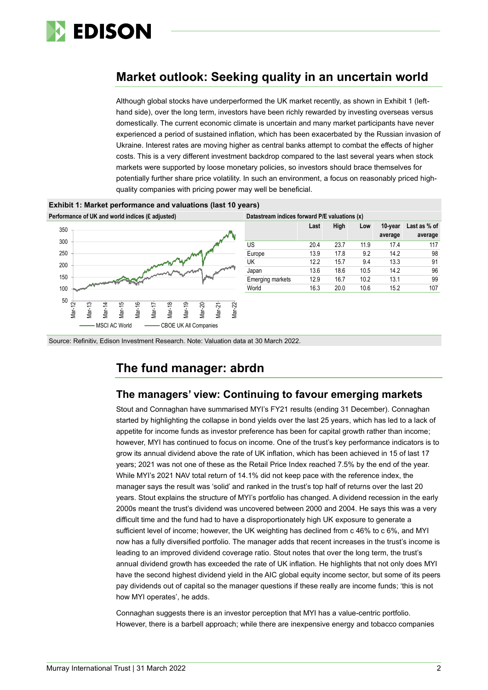

### **Market outlook: Seeking quality in an uncertain world**

Although global stocks have underperformed the UK market recently, as shown in Exhibit 1 (lefthand side), over the long term, investors have been richly rewarded by investing overseas versus domestically. The current economic climate is uncertain and many market participants have never experienced a period of sustained inflation, which has been exacerbated by the Russian invasion of Ukraine. Interest rates are moving higher as central banks attempt to combat the effects of higher costs. This is a very different investment backdrop compared to the last several years when stock markets were supported by loose monetary policies, so investors should brace themselves for potentially further share price volatility. In such an environment, a focus on reasonably priced highquality companies with pricing power may well be beneficial.



Source: Refinitiv, Edison Investment Research. Note: Valuation data at 30 March 2022.

### **The fund manager: abrdn**

### **The managers' view: Continuing to favour emerging markets**

Stout and Connaghan have summarised MYI's FY21 results (ending 31 December). Connaghan started by highlighting the collapse in bond yields over the last 25 years, which has led to a lack of appetite for income funds as investor preference has been for capital growth rather than income; however, MYI has continued to focus on income. One of the trust's key performance indicators is to grow its annual dividend above the rate of UK inflation, which has been achieved in 15 of last 17 years; 2021 was not one of these as the Retail Price Index reached 7.5% by the end of the year. While MYI's 2021 NAV total return of 14.1% did not keep pace with the reference index, the manager says the result was 'solid' and ranked in the trust's top half of returns over the last 20 years. Stout explains the structure of MYI's portfolio has changed. A dividend recession in the early 2000s meant the trust's dividend was uncovered between 2000 and 2004. He says this was a very difficult time and the fund had to have a disproportionately high UK exposure to generate a sufficient level of income; however, the UK weighting has declined from c 46% to c 6%, and MYI now has a fully diversified portfolio. The manager adds that recent increases in the trust's income is leading to an improved dividend coverage ratio. Stout notes that over the long term, the trust's annual dividend growth has exceeded the rate of UK inflation. He highlights that not only does MYI have the second highest dividend yield in the AIC global equity income sector, but some of its peers pay dividends out of capital so the manager questions if these really are income funds; 'this is not how MYI operates', he adds.

Connaghan suggests there is an investor perception that MYI has a value-centric portfolio. However, there is a barbell approach; while there are inexpensive energy and tobacco companies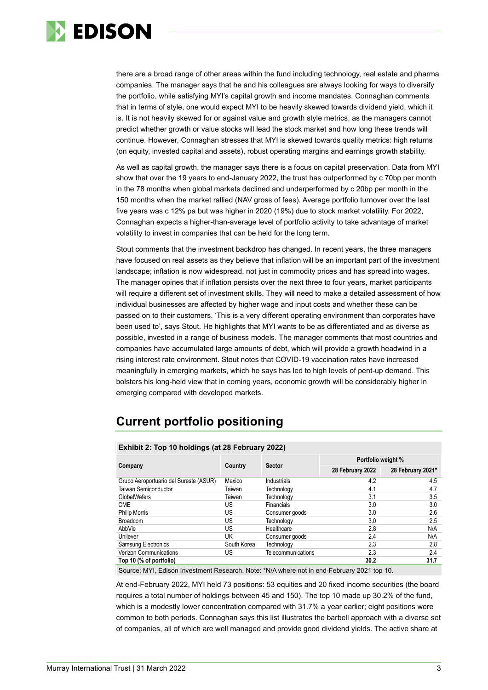

there are a broad range of other areas within the fund including technology, real estate and pharma companies. The manager says that he and his colleagues are always looking for ways to diversify the portfolio, while satisfying MYI's capital growth and income mandates. Connaghan comments that in terms of style, one would expect MYI to be heavily skewed towards dividend yield, which it is. It is not heavily skewed for or against value and growth style metrics, as the managers cannot predict whether growth or value stocks will lead the stock market and how long these trends will continue. However, Connaghan stresses that MYI is skewed towards quality metrics: high returns (on equity, invested capital and assets), robust operating margins and earnings growth stability.

As well as capital growth, the manager says there is a focus on capital preservation. Data from MYI show that over the 19 years to end-January 2022, the trust has outperformed by c 70bp per month in the 78 months when global markets declined and underperformed by c 20bp per month in the 150 months when the market rallied (NAV gross of fees). Average portfolio turnover over the last five years was c 12% pa but was higher in 2020 (19%) due to stock market volatility. For 2022, Connaghan expects a higher-than-average level of portfolio activity to take advantage of market volatility to invest in companies that can be held for the long term.

Stout comments that the investment backdrop has changed. In recent years, the three managers have focused on real assets as they believe that inflation will be an important part of the investment landscape; inflation is now widespread, not just in commodity prices and has spread into wages. The manager opines that if inflation persists over the next three to four years, market participants will require a different set of investment skills. They will need to make a detailed assessment of how individual businesses are affected by higher wage and input costs and whether these can be passed on to their customers. 'This is a very different operating environment than corporates have been used to', says Stout. He highlights that MYI wants to be as differentiated and as diverse as possible, invested in a range of business models. The manager comments that most countries and companies have accumulated large amounts of debt, which will provide a growth headwind in a rising interest rate environment. Stout notes that COVID-19 vaccination rates have increased meaningfully in emerging markets, which he says has led to high levels of pent-up demand. This bolsters his long-held view that in coming years, economic growth will be considerably higher in emerging compared with developed markets.

### **Current portfolio positioning**

|                                        |             |                    | Portfolio weight % |                   |  |  |
|----------------------------------------|-------------|--------------------|--------------------|-------------------|--|--|
| Company                                | Country     | <b>Sector</b>      | 28 February 2022   | 28 February 2021* |  |  |
| Grupo Aeroportuario del Sureste (ASUR) | Mexico      | <b>Industrials</b> | 4.2                | 4.5               |  |  |
| <b>Taiwan Semiconductor</b>            | Taiwan      | Technology         | 4.1                | 4.7               |  |  |
| <b>GlobalWafers</b>                    | Taiwan      | Technology         | 3.1                | 3.5               |  |  |
| <b>CME</b>                             | US          | <b>Financials</b>  | 3.0                | 3.0               |  |  |
| <b>Philip Morris</b>                   | US          | Consumer goods     | 3.0                | 2.6               |  |  |
| <b>Broadcom</b>                        | US          | Technology         | 3.0                | 2.5               |  |  |
| AbbVie                                 | US          | Healthcare         | 2.8                | N/A               |  |  |
| Unilever                               | UK          | Consumer goods     | 2.4                | N/A               |  |  |
| Samsung Electronics                    | South Korea | Technology         | 2.3                | 2.8               |  |  |
| <b>Verizon Communications</b>          | US          | Telecommunications | 2.3                | 2.4               |  |  |
| Top 10 (% of portfolio)                |             |                    | 30.2               | 31.7              |  |  |

#### **Exhibit 2: Top 10 holdings (at 28 February 2022)**

Source: MYI, Edison Investment Research. Note: \*N/A where not in end-February 2021 top 10.

At end-February 2022, MYI held 73 positions: 53 equities and 20 fixed income securities (the board requires a total number of holdings between 45 and 150). The top 10 made up 30.2% of the fund, which is a modestly lower concentration compared with 31.7% a year earlier; eight positions were common to both periods. Connaghan says this list illustrates the barbell approach with a diverse set of companies, all of which are well managed and provide good dividend yields. The active share at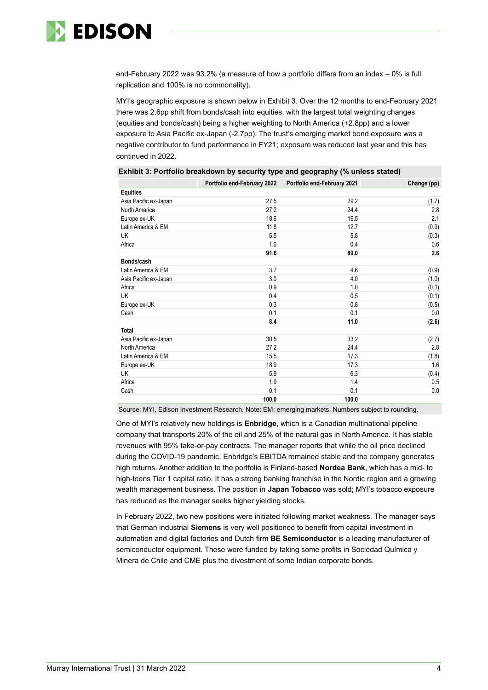

end-February 2022 was 93.2% (a measure of how a portfolio differs from an index – 0% is full replication and 100% is no commonality).

MYI's geographic exposure is shown below in Exhibit 3. Over the 12 months to end-February 2021 there was 2.6pp shift from bonds/cash into equities, with the largest total weighting changes (equities and bonds/cash) being a higher weighting to North America (+2.8pp) and a lower exposure to Asia Pacific ex-Japan (-2.7pp). The trust's emerging market bond exposure was a negative contributor to fund performance in FY21; exposure was reduced last year and this has continued in 2022.

|                       | <i>,</i>                    |                             |             |
|-----------------------|-----------------------------|-----------------------------|-------------|
|                       | Portfolio end-February 2022 | Portfolio end-February 2021 | Change (pp) |
| <b>Equities</b>       |                             |                             |             |
| Asia Pacific ex-Japan | 27.5                        | 29.2                        | (1.7)       |
| North America         | 27.2                        | 24.4                        | 2.8         |
| Europe ex-UK          | 18.6                        | 16.5                        | 2.1         |
| Latin America & EM    | 11.8                        | 12.7                        | (0.9)       |
| UK                    | 5.5                         | 5.8                         | (0.3)       |
| Africa                | 1.0                         | 0.4                         | 0.6         |
|                       | 91.6                        | 89.0                        | 2.6         |
| Bonds/cash            |                             |                             |             |
| Latin America & EM    | 3.7                         | 4.6                         | (0.9)       |
| Asia Pacific ex-Japan | 3.0                         | 4.0                         | (1.0)       |
| Africa                | 0.9                         | 1.0                         | (0.1)       |
| UK                    | 0.4                         | 0.5                         | (0.1)       |
| Europe ex-UK          | 0.3                         | 0.8                         | (0.5)       |
| Cash                  | 0.1                         | 0.1                         | 0.0         |
|                       | 8.4                         | 11.0                        | (2.6)       |
| <b>Total</b>          |                             |                             |             |
| Asia Pacific ex-Japan | 30.5                        | 33.2                        | (2.7)       |
| North America         | 27.2                        | 24.4                        | 2.8         |
| Latin America & EM    | 15.5                        | 17.3                        | (1.8)       |
| Europe ex-UK          | 18.9                        | 17.3                        | 1.6         |
| UK                    | 5.9                         | 6.3                         | (0.4)       |
| Africa                | 1.9                         | 1.4                         | 0.5         |
| Cash                  | 0.1                         | 0.1                         | 0.0         |
|                       | 100.0                       | 100.0                       |             |

Source: MYI, Edison Investment Research. Note: EM: emerging markets. Numbers subject to rounding.

One of MYI's relatively new holdings is **Enbridge**, which is a Canadian multinational pipeline company that transports 20% of the oil and 25% of the natural gas in North America. It has stable revenues with 95% take-or-pay contracts. The manager reports that while the oil price declined during the COVID-19 pandemic, Enbridge's EBITDA remained stable and the company generates high returns. Another addition to the portfolio is Finland-based **Nordea Bank**, which has a mid- to high-teens Tier 1 capital ratio. It has a strong banking franchise in the Nordic region and a growing wealth management business. The position in **Japan Tobacco** was sold; MYI's tobacco exposure has reduced as the manager seeks higher yielding stocks.

In February 2022, two new positions were initiated following market weakness. The manager says that German industrial **Siemens** is very well positioned to benefit from capital investment in automation and digital factories and Dutch firm **BE Semiconductor** is a leading manufacturer of semiconductor equipment. These were funded by taking some profits in Sociedad Química y Minera de Chile and CME plus the divestment of some Indian corporate bonds.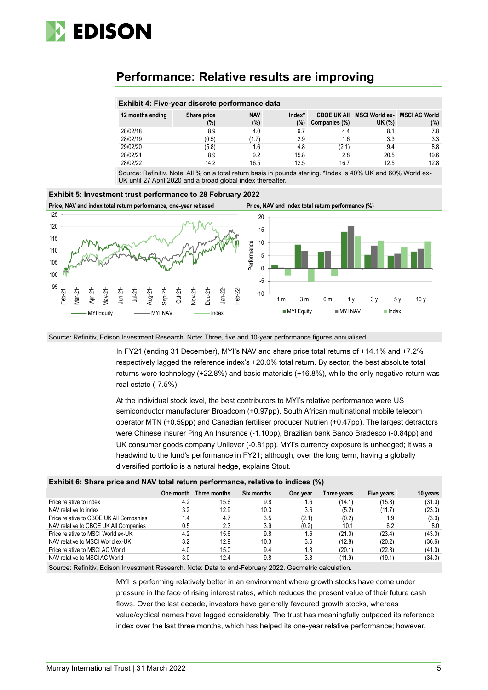

### **Performance: Relative results are improving**

#### **Exhibit 4: Five-year discrete performance data**

| 12 months ending | Share price<br>$(\%)$ | <b>NAV</b><br>(%) | Index*<br>(%) | <b>CBOE UK AII</b><br>Companies (%) | UK (%) | MSCI World ex- MSCI AC World<br>(%) |
|------------------|-----------------------|-------------------|---------------|-------------------------------------|--------|-------------------------------------|
| 28/02/18         | 8.9                   | 4.0               | 6.7           | 4.4                                 |        | 7.8                                 |
| 28/02/19         | (0.5)                 | (1.7)             | 2.9           | 1.6                                 | 3.3    | 3.3                                 |
| 29/02/20         | (5.8)                 | 1.6               | 4.8           | (2.1)                               | 9.4    | 8.8                                 |
| 28/02/21         | 8.9                   | 9.2               | 15.8          | 2.8                                 | 20.5   | 19.6                                |
| 28/02/22         | 14.2                  | 16.5              | 12.5          | 16.7                                | 12.5   | 12.8                                |

Source: Refinitiv. Note: All % on a total return basis in pounds sterling. \*Index is 40% UK and 60% World ex-UK until 27 April 2020 and a broad global index thereafter.

#### **Exhibit 5: Investment trust performance to 28 February 2022**



Source: Refinitiv, Edison Investment Research. Note: Three, five and 10-year performance figures annualised.

In FY21 (ending 31 December), MYI's NAV and share price total returns of +14.1% and +7.2% respectively lagged the reference index's +20.0% total return. By sector, the best absolute total returns were technology (+22.8%) and basic materials (+16.8%), while the only negative return was real estate (-7.5%).

At the individual stock level, the best contributors to MYI's relative performance were US semiconductor manufacturer Broadcom (+0.97pp), South African multinational mobile telecom operator MTN (+0.59pp) and Canadian fertiliser producer Nutrien (+0.47pp). The largest detractors were Chinese insurer Ping An Insurance (-1.10pp), Brazilian bank Banco Bradesco (-0.84pp) and UK consumer goods company Unilever (-0.81pp). MYI's currency exposure is unhedged; it was a headwind to the fund's performance in FY21; although, over the long term, having a globally diversified portfolio is a natural hedge, explains Stout.

| Exhibit 6: Share price and NAV total return performance, relative to indices (%) |  |  |  |
|----------------------------------------------------------------------------------|--|--|--|
|                                                                                  |  |  |  |

|                                         |     | One month Three months | Six months | One year | Three years | <b>Five years</b> | 10 years |
|-----------------------------------------|-----|------------------------|------------|----------|-------------|-------------------|----------|
| Price relative to index                 | 4.2 | 15.6                   | 9.8        | 1.6      | (14.1)      | (15.3)            | (31.0)   |
| NAV relative to index                   | 3.2 | 12.9                   | 10.3       | 3.6      | (5.2)       | (11.7)            | (23.3)   |
| Price relative to CBOE UK All Companies | 1.4 | 4.7                    | 3.5        | (2.1)    | (0.2)       | 1.9               | (3.0)    |
| NAV relative to CBOE UK All Companies   | 0.5 | 2.3                    | 3.9        | (0.2)    | 10.1        | 6.2               | 8.0      |
| Price relative to MSCI World ex-UK      | 4.2 | 15.6                   | 9.8        | 1.6      | (21.0)      | (23.4)            | (43.0)   |
| NAV relative to MSCI World ex-UK        | 3.2 | 12.9                   | 10.3       | 3.6      | (12.8)      | (20.2)            | (36.6)   |
| Price relative to MSCI AC World         | 4.0 | 15.0                   | 9.4        | 1.3      | (20.1)      | (22.3)            | (41.0)   |
| NAV relative to MSCI AC World           | 3.0 | 12.4                   | 9.8        | 3.3      | (11.9)      | (19.1)            | (34.3)   |
|                                         |     |                        |            |          |             |                   |          |

Source: Refinitiv, Edison Investment Research. Note: Data to end-February 2022. Geometric calculation.

MYI is performing relatively better in an environment where growth stocks have come under pressure in the face of rising interest rates, which reduces the present value of their future cash flows. Over the last decade, investors have generally favoured growth stocks, whereas value/cyclical names have lagged considerably. The trust has meaningfully outpaced its reference index over the last three months, which has helped its one-year relative performance; however,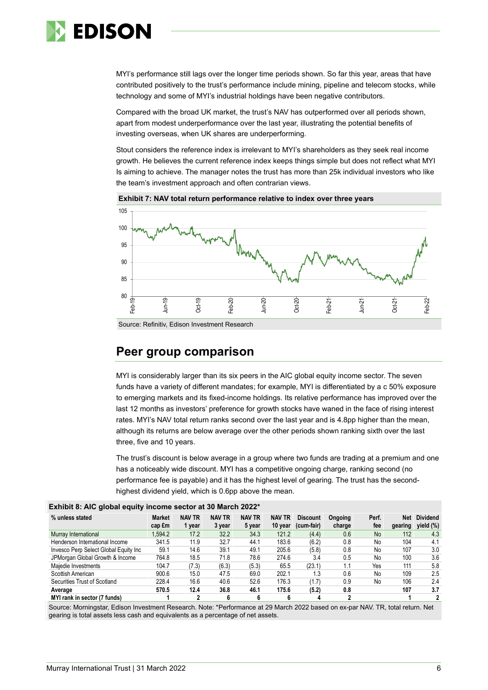

MYI's performance still lags over the longer time periods shown. So far this year, areas that have contributed positively to the trust's performance include mining, pipeline and telecom stocks, while technology and some of MYI's industrial holdings have been negative contributors.

Compared with the broad UK market, the trust's NAV has outperformed over all periods shown, apart from modest underperformance over the last year, illustrating the potential benefits of investing overseas, when UK shares are underperforming.

Stout considers the reference index is irrelevant to MYI's shareholders as they seek real income growth. He believes the current reference index keeps things simple but does not reflect what MYI Is aiming to achieve. The manager notes the trust has more than 25k individual investors who like the team's investment approach and often contrarian views.



**Exhibit 7: NAV total return performance relative to index over three years**

Source: Refinitiv, Edison Investment Research

### **Peer group comparison**

MYI is considerably larger than its six peers in the AIC global equity income sector. The seven funds have a variety of different mandates; for example, MYI is differentiated by a c 50% exposure to emerging markets and its fixed-income holdings. Its relative performance has improved over the last 12 months as investors' preference for growth stocks have waned in the face of rising interest rates. MYI's NAV total return ranks second over the last year and is 4.8pp higher than the mean, although its returns are below average over the other periods shown ranking sixth over the last three, five and 10 years.

The trust's discount is below average in a group where two funds are trading at a premium and one has a noticeably wide discount. MYI has a competitive ongoing charge, ranking second (no performance fee is payable) and it has the highest level of gearing. The trust has the secondhighest dividend yield, which is 0.6pp above the mean.

| % unless stated                       | <b>Market</b><br>cap £m | <b>NAV TR</b><br>year | <b>NAV TR</b><br>3 year | <b>NAV TR</b><br>5 year | <b>NAV TR</b><br>10 year | <b>Discount</b><br>(cum-fair) | Ongoing<br>charge | Perf.<br>fee | Net<br>gearing | <b>Dividend</b><br>yield (%) |
|---------------------------------------|-------------------------|-----------------------|-------------------------|-------------------------|--------------------------|-------------------------------|-------------------|--------------|----------------|------------------------------|
| Murray International                  | 1.594.2                 | 17.2                  | 32.2                    | 34.3                    | 121.2                    | (4.4)                         | 0.6               | <b>No</b>    | 112            | 4.3                          |
| Henderson International Income        | 341.5                   | 11.9                  | 32.7                    | 44.1                    | 183.6                    | (6.2)                         | 0.8               | No           | 104            | 4.1                          |
| Invesco Perp Select Global Equity Inc | 59.1                    | 14.6                  | 39.1                    | 49.1                    | 205.6                    | (5.8)                         | 0.8               | No           | 107            | 3.0                          |
| JPMorgan Global Growth & Income       | 764.8                   | 18.5                  | 71.8                    | 78.6                    | 274.6                    | 3.4                           | 0.5               | No           | 100            | 3.6                          |
| Majedie Investments                   | 104.7                   | (7.3)                 | (6.3)                   | (5.3)                   | 65.5                     | (23.1)                        |                   | Yes          | 111            | 5.8                          |
| Scottish American                     | 900.6                   | 15.0                  | 47.5                    | 69.0                    | 202.1                    | 1.3                           | 0.6               | No           | 109            | 2.5                          |
| Securities Trust of Scotland          | 228.4                   | 16.6                  | 40.6                    | 52.6                    | 176.3                    | (1.7)                         | 0.9               | No           | 106            | 2.4                          |
| Average                               | 570.5                   | 12.4                  | 36.8                    | 46.1                    | 175.6                    | (5.2)                         | 0.8               |              | 107            | 3.7                          |
| MYI rank in sector (7 funds)          |                         | 2                     |                         |                         |                          |                               |                   |              |                | 2                            |

| Exhibit 8: AIC global equity income sector at 30 March 2022* |  |  |
|--------------------------------------------------------------|--|--|
|                                                              |  |  |

Source: Morningstar, Edison Investment Research. Note: \*Performance at 29 March 2022 based on ex-par NAV. TR, total return. Net gearing is total assets less cash and equivalents as a percentage of net assets.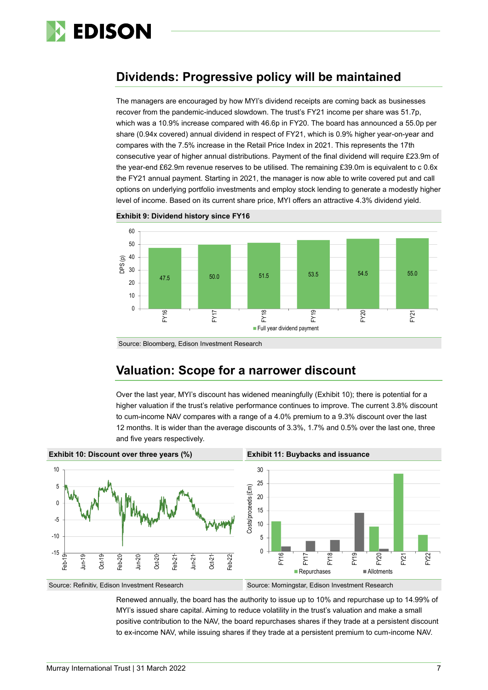

### **Dividends: Progressive policy will be maintained**

The managers are encouraged by how MYI's dividend receipts are coming back as businesses recover from the pandemic-induced slowdown. The trust's FY21 income per share was 51.7p, which was a 10.9% increase compared with 46.6p in FY20. The board has announced a 55.0p per share (0.94x covered) annual dividend in respect of FY21, which is 0.9% higher year-on-year and compares with the 7.5% increase in the Retail Price Index in 2021. This represents the 17th consecutive year of higher annual distributions. Payment of the final dividend will require £23.9m of the year-end £62.9m revenue reserves to be utilised. The remaining £39.0m is equivalent to c 0.6x the FY21 annual payment. Starting in 2021, the manager is now able to write covered put and call options on underlying portfolio investments and employ stock lending to generate a modestly higher level of income. Based on its current share price, MYI offers an attractive 4.3% dividend yield.





Source: Bloomberg, Edison Investment Research

### **Valuation: Scope for a narrower discount**

Over the last year, MYI's discount has widened meaningfully (Exhibit 10); there is potential for a higher valuation if the trust's relative performance continues to improve. The current 3.8% discount to cum-income NAV compares with a range of a 4.0% premium to a 9.3% discount over the last 12 months. It is wider than the average discounts of 3.3%, 1.7% and 0.5% over the last one, three and five years respectively.



Renewed annually, the board has the authority to issue up to 10% and repurchase up to 14.99% of MYI's issued share capital. Aiming to reduce volatility in the trust's valuation and make a small positive contribution to the NAV, the board repurchases shares if they trade at a persistent discount to ex-income NAV, while issuing shares if they trade at a persistent premium to cum-income NAV.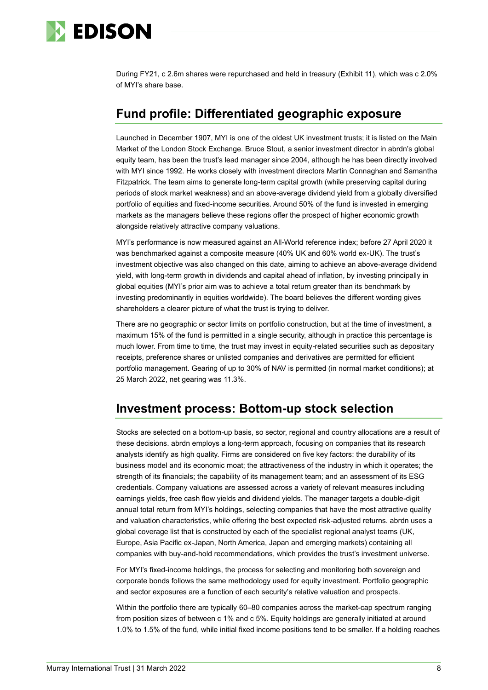

During FY21, c 2.6m shares were repurchased and held in treasury (Exhibit 11), which was c 2.0% of MYI's share base.

### **Fund profile: Differentiated geographic exposure**

Launched in December 1907, MYI is one of the oldest UK investment trusts; it is listed on the Main Market of the London Stock Exchange. Bruce Stout, a senior investment director in abrdn's global equity team, has been the trust's lead manager since 2004, although he has been directly involved with MYI since 1992. He works closely with investment directors Martin Connaghan and Samantha Fitzpatrick. The team aims to generate long-term capital growth (while preserving capital during periods of stock market weakness) and an above-average dividend yield from a globally diversified portfolio of equities and fixed-income securities. Around 50% of the fund is invested in emerging markets as the managers believe these regions offer the prospect of higher economic growth alongside relatively attractive company valuations.

MYI's performance is now measured against an All-World reference index; before 27 April 2020 it was benchmarked against a composite measure (40% UK and 60% world ex-UK). The trust's investment objective was also changed on this date, aiming to achieve an above-average dividend yield, with long-term growth in dividends and capital ahead of inflation, by investing principally in global equities (MYI's prior aim was to achieve a total return greater than its benchmark by investing predominantly in equities worldwide). The board believes the different wording gives shareholders a clearer picture of what the trust is trying to deliver.

There are no geographic or sector limits on portfolio construction, but at the time of investment, a maximum 15% of the fund is permitted in a single security, although in practice this percentage is much lower. From time to time, the trust may invest in equity-related securities such as depositary receipts, preference shares or unlisted companies and derivatives are permitted for efficient portfolio management. Gearing of up to 30% of NAV is permitted (in normal market conditions); at 25 March 2022, net gearing was 11.3%.

### **Investment process: Bottom-up stock selection**

Stocks are selected on a bottom-up basis, so sector, regional and country allocations are a result of these decisions. abrdn employs a long-term approach, focusing on companies that its research analysts identify as high quality. Firms are considered on five key factors: the durability of its business model and its economic moat; the attractiveness of the industry in which it operates; the strength of its financials; the capability of its management team; and an assessment of its ESG credentials. Company valuations are assessed across a variety of relevant measures including earnings yields, free cash flow yields and dividend yields. The manager targets a double-digit annual total return from MYI's holdings, selecting companies that have the most attractive quality and valuation characteristics, while offering the best expected risk-adjusted returns. abrdn uses a global coverage list that is constructed by each of the specialist regional analyst teams (UK, Europe, Asia Pacific ex-Japan, North America, Japan and emerging markets) containing all companies with buy-and-hold recommendations, which provides the trust's investment universe.

For MYI's fixed-income holdings, the process for selecting and monitoring both sovereign and corporate bonds follows the same methodology used for equity investment. Portfolio geographic and sector exposures are a function of each security's relative valuation and prospects.

Within the portfolio there are typically 60–80 companies across the market-cap spectrum ranging from position sizes of between c 1% and c 5%. Equity holdings are generally initiated at around 1.0% to 1.5% of the fund, while initial fixed income positions tend to be smaller. If a holding reaches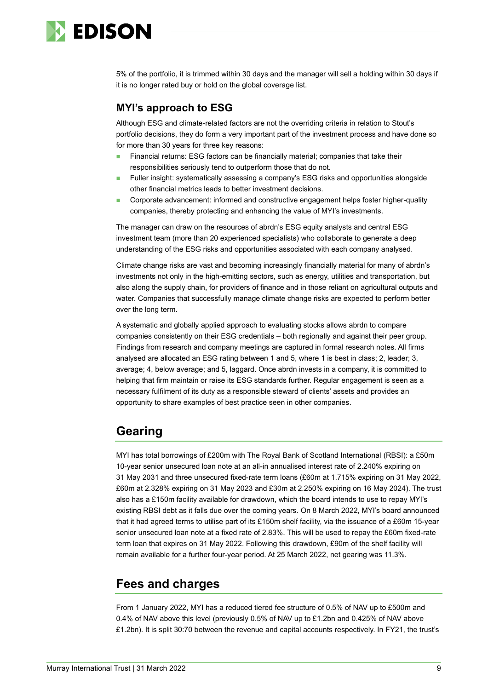

5% of the portfolio, it is trimmed within 30 days and the manager will sell a holding within 30 days if it is no longer rated buy or hold on the global coverage list.

### **MYI's approach to ESG**

Although ESG and climate-related factors are not the overriding criteria in relation to Stout's portfolio decisions, they do form a very important part of the investment process and have done so for more than 30 years for three key reasons:

- Financial returns: ESG factors can be financially material; companies that take their responsibilities seriously tend to outperform those that do not.
- Fuller insight: systematically assessing a company's ESG risks and opportunities alongside other financial metrics leads to better investment decisions.
- ◼ Corporate advancement: informed and constructive engagement helps foster higher-quality companies, thereby protecting and enhancing the value of MYI's investments.

The manager can draw on the resources of abrdn's ESG equity analysts and central ESG investment team (more than 20 experienced specialists) who collaborate to generate a deep understanding of the ESG risks and opportunities associated with each company analysed.

Climate change risks are vast and becoming increasingly financially material for many of abrdn's investments not only in the high-emitting sectors, such as energy, utilities and transportation, but also along the supply chain, for providers of finance and in those reliant on agricultural outputs and water. Companies that successfully manage climate change risks are expected to perform better over the long term.

A systematic and globally applied approach to evaluating stocks allows abrdn to compare companies consistently on their ESG credentials – both regionally and against their peer group. Findings from research and company meetings are captured in formal research notes. All firms analysed are allocated an ESG rating between 1 and 5, where 1 is best in class; 2, leader; 3, average; 4, below average; and 5, laggard. Once abrdn invests in a company, it is committed to helping that firm maintain or raise its ESG standards further. Regular engagement is seen as a necessary fulfilment of its duty as a responsible steward of clients' assets and provides an opportunity to share examples of best practice seen in other companies.

### **Gearing**

MYI has total borrowings of £200m with The Royal Bank of Scotland International (RBSI): a £50m 10-year senior unsecured loan note at an all-in annualised interest rate of 2.240% expiring on 31 May 2031 and three unsecured fixed-rate term loans (£60m at 1.715% expiring on 31 May 2022, £60m at 2.328% expiring on 31 May 2023 and £30m at 2.250% expiring on 16 May 2024). The trust also has a £150m facility available for drawdown, which the board intends to use to repay MYI's existing RBSI debt as it falls due over the coming years. On 8 March 2022, MYI's board announced that it had agreed terms to utilise part of its £150m shelf facility, via the issuance of a £60m 15-year senior unsecured loan note at a fixed rate of 2.83%. This will be used to repay the £60m fixed-rate term loan that expires on 31 May 2022. Following this drawdown, £90m of the shelf facility will remain available for a further four-year period. At 25 March 2022, net gearing was 11.3%.

### **Fees and charges**

From 1 January 2022, MYI has a reduced tiered fee structure of 0.5% of NAV up to £500m and 0.4% of NAV above this level (previously 0.5% of NAV up to £1.2bn and 0.425% of NAV above £1.2bn). It is split 30:70 between the revenue and capital accounts respectively. In FY21, the trust's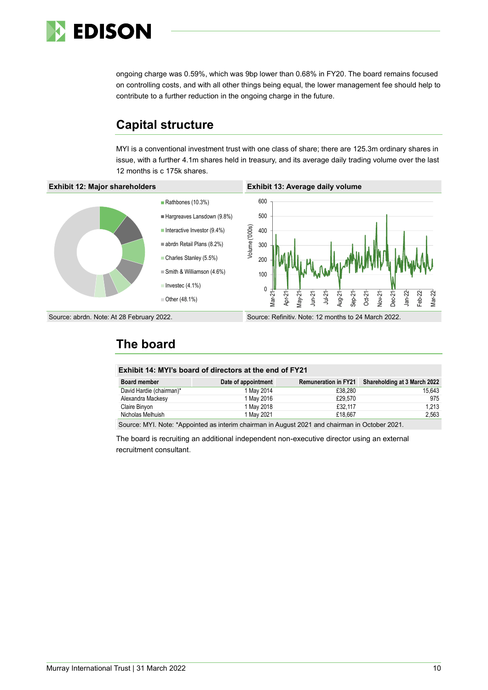

ongoing charge was 0.59%, which was 9bp lower than 0.68% in FY20. The board remains focused on controlling costs, and with all other things being equal, the lower management fee should help to contribute to a further reduction in the ongoing charge in the future.

### **Capital structure**

MYI is a conventional investment trust with one class of share; there are 125.3m ordinary shares in issue, with a further 4.1m shares held in treasury, and its average daily trading volume over the last 12 months is c 175k shares.



## **The board**

| Exhibit 14: MYI's board of directors at the end of FY21                                      |                     |                             |                              |  |  |  |
|----------------------------------------------------------------------------------------------|---------------------|-----------------------------|------------------------------|--|--|--|
| <b>Board member</b>                                                                          | Date of appointment | <b>Remuneration in FY21</b> | Shareholding at 3 March 2022 |  |  |  |
| David Hardie (chairman)*                                                                     | 1 May 2014          | £38,280                     | 15,643                       |  |  |  |
| Alexandra Mackesy                                                                            | 1 May 2016          | £29.570                     | 975                          |  |  |  |
| Claire Binyon                                                                                | 1 May 2018          | £32.117                     | 1.213                        |  |  |  |
| Nicholas Melhuish                                                                            | 1 May 2021          | £18.667                     | 2.563                        |  |  |  |
| Source: MVL Note: *Appointed as interim chairman in August 2021 and chairman in October 2021 |                     |                             |                              |  |  |  |

s interim chairman in August 2021 and chairman in October 2

The board is recruiting an additional independent non-executive director using an external recruitment consultant.